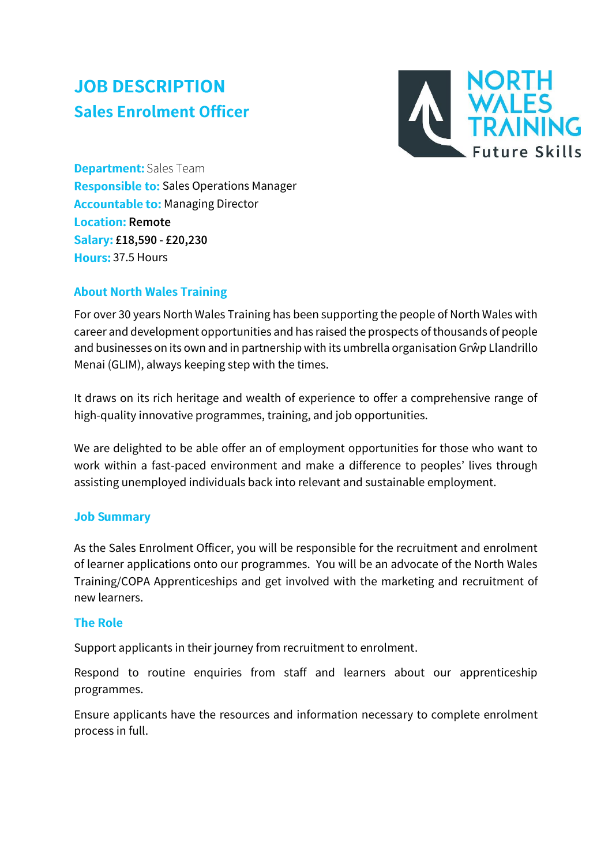# **JOB DESCRIPTION Sales Enrolment Officer**



**Department:** Sales Team Responsible to: Sales Operations Manager **Accountable to: Managing Director Location: Remote** Salary: £18,590 - £20,230 Hours: 37.5 Hours

## **About North Wales Training**

For over 30 years North Wales Training has been supporting the people of North Wales with career and development opportunities and has raised the prospects of thousands of people and businesses on its own and in partnership with its umbrella organisation Grŵp Llandrillo Menai (GLIM), always keeping step with the times.

It draws on its rich heritage and wealth of experience to offer a comprehensive range of high-quality innovative programmes, training, and job opportunities.

We are delighted to be able offer an of employment opportunities for those who want to work within a fast-paced environment and make a difference to peoples' lives through assisting unemployed individuals back into relevant and sustainable employment.

## **Job Summary**

As the Sales Enrolment Officer, you will be responsible for the recruitment and enrolment of learner applications onto our programmes. You will be an advocate of the North Wales Training/COPA Apprenticeships and get involved with the marketing and recruitment of new learners.

#### **The Role**

Support applicants in their journey from recruitment to enrolment.

Respond to routine enquiries from staff and learners about our apprenticeship programmes.

Ensure applicants have the resources and information necessary to complete enrolment process in full.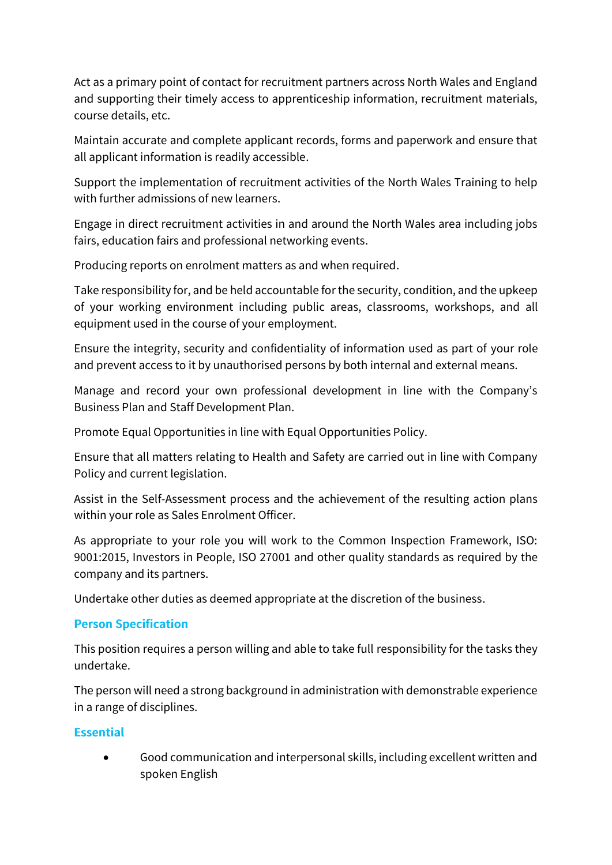Act as a primary point of contact for recruitment partners across North Wales and England and supporting their timely access to apprenticeship information, recruitment materials, course details, etc.

Maintain accurate and complete applicant records, forms and paperwork and ensure that all applicant information is readily accessible.

Support the implementation of recruitment activities of the North Wales Training to help with further admissions of new learners.

Engage in direct recruitment activities in and around the North Wales area including jobs fairs, education fairs and professional networking events.

Producing reports on enrolment matters as and when required.

Take responsibility for, and be held accountable for the security, condition, and the upkeep of your working environment including public areas, classrooms, workshops, and all equipment used in the course of your employment.

Ensure the integrity, security and confidentiality of information used as part of your role and prevent access to it by unauthorised persons by both internal and external means.

Manage and record your own professional development in line with the Company's Business Plan and Staff Development Plan.

Promote Equal Opportunities in line with Equal Opportunities Policy.

Ensure that all matters relating to Health and Safety are carried out in line with Company Policy and current legislation.

Assist in the Self-Assessment process and the achievement of the resulting action plans within your role as Sales Enrolment Officer.

As appropriate to your role you will work to the Common Inspection Framework, ISO: 9001:2015, Investors in People, ISO 27001 and other quality standards as required by the company and its partners.

Undertake other duties as deemed appropriate at the discretion of the business.

## **Person Specification**

This position requires a person willing and able to take full responsibility for the tasks they undertake.

The person will need a strong background in administration with demonstrable experience in a range of disciplines.

## **Essential**

• Good communication and interpersonal skills, including excellent written and spoken English